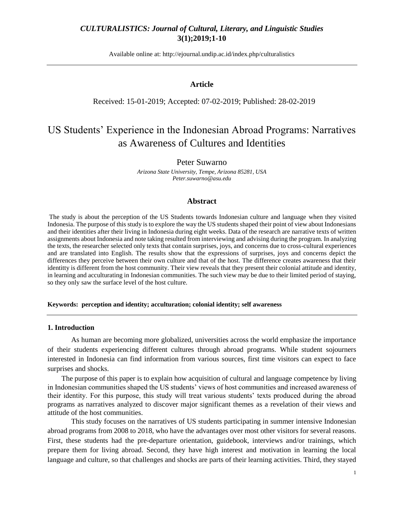Available online at: [http://ejournal.undip.ac.id/index.php/c](http://ejournal.undip.ac.id/index.php/)ulturalistics

### **Article**

#### Received: 15-01-2019; Accepted: 07-02-2019; Published: 28-02-2019

# US Students' Experience in the Indonesian Abroad Programs: Narratives as Awareness of Cultures and Identities

#### Peter Suwarno

*Arizona State University, Tempe, Arizona 85281, USA Peter.suwarno@asu.edu*

#### **Abstract**

The study is about the perception of the US Students towards Indonesian culture and language when they visited Indonesia. The purpose of this study is to explore the way the US students shaped their point of view about Indonesians and their identities after their living in Indonesia during eight weeks. Data of the research are narrative texts of written assignments about Indonesia and note taking resulted from interviewing and advising during the program. In analyzing the texts, the researcher selected only texts that contain surprises, joys, and concerns due to cross-cultural experiences and are translated into English. The results show that the expressions of surprises, joys and concerns depict the differences they perceive between their own culture and that of the host. The difference creates awareness that their identitty is different from the host community. Their view reveals that they present their colonial attitude and identity, in learning and acculturating in Indonesian communities. The such view may be due to their limited period of staying, so they only saw the surface level of the host culture.

#### **Keywords: perception and identity; acculturation; colonial identity; self awareness**

#### **1. Introduction**

As human are becoming more globalized, universities across the world emphasize the importance of their students experiencing different cultures through abroad programs. While student sojourners interested in Indonesia can find information from various sources, first time visitors can expect to face surprises and shocks.

The purpose of this paper is to explain how acquisition of cultural and language competence by living in Indonesian communities shaped the US students' views of host communities and increased awareness of their identity. For this purpose, this study will treat various students' texts produced during the abroad programs as narratives analyzed to discover major significant themes as a revelation of their views and attitude of the host communities.

This study focuses on the narratives of US students participating in summer intensive Indonesian abroad programs from 2008 to 2018, who have the advantages over most other visitors for several reasons. First, these students had the pre-departure orientation, guidebook, interviews and/or trainings, which prepare them for living abroad. Second, they have high interest and motivation in learning the local language and culture, so that challenges and shocks are parts of their learning activities. Third, they stayed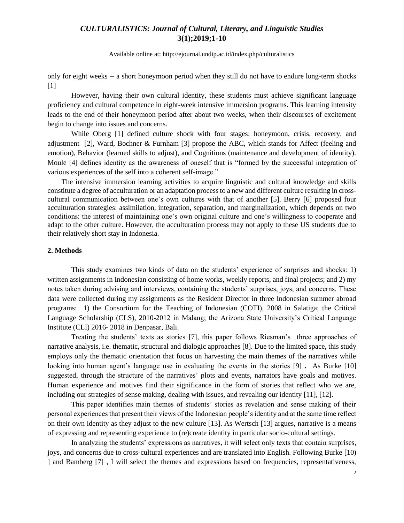Available online at: [http://ejournal.undip.ac.id/index.php/c](http://ejournal.undip.ac.id/index.php/)ulturalistics

only for eight weeks -- a short honeymoon period when they still do not have to endure long-term shocks [1]

However, having their own cultural identity, these students must achieve significant language proficiency and cultural competence in eight-week intensive immersion programs. This learning intensity leads to the end of their honeymoon period after about two weeks, when their discourses of excitement begin to change into issues and concerns.

While Oberg [1] defined culture shock with four stages: honeymoon, crisis, recovery, and adjustment [2], Ward, Bochner & Furnham [3] propose the ABC, which stands for Affect (feeling and emotion), Behavior (learned skills to adjust), and Cognitions (maintenance and development of identity). Moule [4] defines identity as the awareness of oneself that is "formed by the successful integration of various experiences of the self into a coherent self-image."

The intensive immersion learning activities to acquire linguistic and cultural knowledge and skills constitute a degree of acculturation or an adaptation process to a new and different culture resulting in crosscultural communication between one's own cultures with that of another [5]. Berry [6] proposed four acculturation strategies: assimilation, integration, separation, and marginalization, which depends on two conditions: the interest of maintaining one's own original culture and one's willingness to cooperate and adapt to the other culture. However, the acculturation process may not apply to these US students due to their relatively short stay in Indonesia.

#### **2. Methods**

This study examines two kinds of data on the students' experience of surprises and shocks: 1) written assignments in Indonesian consisting of home works, weekly reports, and final projects; and 2) my notes taken during advising and interviews, containing the students' surprises, joys, and concerns. These data were collected during my assignments as the Resident Director in three Indonesian summer abroad programs: 1) the Consortium for the Teaching of Indonesian (COTI), 2008 in Salatiga; the Critical Language Scholarship (CLS), 2010-2012 in Malang; the Arizona State University's Critical Language Institute (CLI) 2016- 2018 in Denpasar, Bali.

Treating the students' texts as stories [7], this paper follows Riesman's three approaches of narrative analysis, i.e. thematic, structural and dialogic approaches [8]. Due to the limited space, this study employs only the thematic orientation that focus on harvesting the main themes of the narratives while looking into human agent's language use in evaluating the events in the stories [9] **.** As Burke [10] suggested, through the structure of the narratives' plots and events, narrators have goals and motives. Human experience and motives find their significance in the form of stories that reflect who we are, including our strategies of sense making, dealing with issues, and revealing our identity [11], [12].

This paper identifies main themes of students' stories as revelation and sense making of their personal experiences that present their views of the Indonesian people's identity and at the same time reflect on their own identity as they adjust to the new culture [13]. As Wertsch [13] argues, narrative is a means of expressing and representing experience to (re)create identity in particular socio-cultural settings.

In analyzing the students' expressions as narratives, it will select only texts that contain surprises, joys, and concerns due to cross-cultural experiences and are translated into English. Following Burke [10) ] and Bamberg [7] , I will select the themes and expressions based on frequencies, representativeness,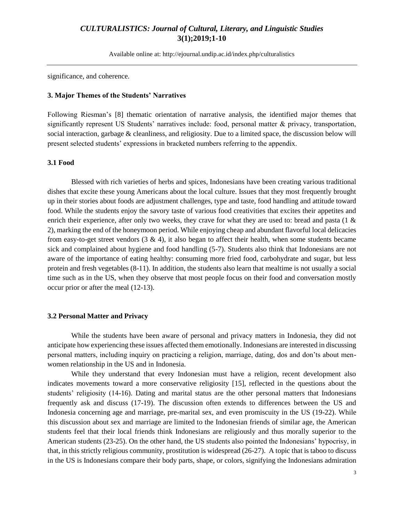Available online at: [http://ejournal.undip.ac.id/index.php/c](http://ejournal.undip.ac.id/index.php/)ulturalistics

significance, and coherence.

#### **3. Major Themes of the Students' Narratives**

Following Riesman's [8] thematic orientation of narrative analysis, the identified major themes that significantly represent US Students' narratives include: food, personal matter & privacy, transportation, social interaction, garbage & cleanliness, and religiosity. Due to a limited space, the discussion below will present selected students' expressions in bracketed numbers referring to the appendix.

#### **3.1 Food**

Blessed with rich varieties of herbs and spices, Indonesians have been creating various traditional dishes that excite these young Americans about the local culture. Issues that they most frequently brought up in their stories about foods are adjustment challenges, type and taste, food handling and attitude toward food. While the students enjoy the savory taste of various food creativities that excites their appetites and enrich their experience, after only two weeks, they crave for what they are used to: bread and pasta (1 & 2), marking the end of the honeymoon period. While enjoying cheap and abundant flavorful local delicacies from easy-to-get street vendors  $(3 \& 4)$ , it also began to affect their health, when some students became sick and complained about hygiene and food handling (5-7). Students also think that Indonesians are not aware of the importance of eating healthy: consuming more fried food, carbohydrate and sugar, but less protein and fresh vegetables (8-11). In addition, the students also learn that mealtime is not usually a social time such as in the US, when they observe that most people focus on their food and conversation mostly occur prior or after the meal (12-13).

#### **3.2 Personal Matter and Privacy**

While the students have been aware of personal and privacy matters in Indonesia, they did not anticipate how experiencing these issues affected them emotionally. Indonesians are interested in discussing personal matters, including inquiry on practicing a religion, marriage, dating, dos and don'ts about menwomen relationship in the US and in Indonesia.

While they understand that every Indonesian must have a religion, recent development also indicates movements toward a more conservative religiosity [15], reflected in the questions about the students' religiosity (14-16). Dating and marital status are the other personal matters that Indonesians frequently ask and discuss (17-19). The discussion often extends to differences between the US and Indonesia concerning age and marriage, pre-marital sex, and even promiscuity in the US (19-22). While this discussion about sex and marriage are limited to the Indonesian friends of similar age, the American students feel that their local friends think Indonesians are religiously and thus morally superior to the American students (23-25). On the other hand, the US students also pointed the Indonesians' hypocrisy, in that, in this strictly religious community, prostitution is widespread (26-27). A topic that is taboo to discuss in the US is Indonesians compare their body parts, shape, or colors, signifying the Indonesians admiration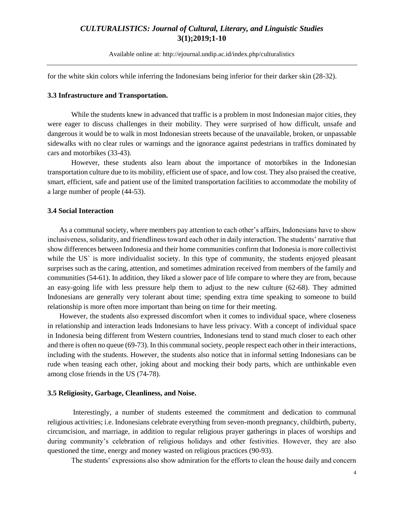Available online at: [http://ejournal.undip.ac.id/index.php/c](http://ejournal.undip.ac.id/index.php/)ulturalistics

for the white skin colors while inferring the Indonesians being inferior for their darker skin (28-32).

#### **3.3 Infrastructure and Transportation.**

While the students knew in advanced that traffic is a problem in most Indonesian major cities, they were eager to discuss challenges in their mobility. They were surprised of how difficult, unsafe and dangerous it would be to walk in most Indonesian streets because of the unavailable, broken, or unpassable sidewalks with no clear rules or warnings and the ignorance against pedestrians in traffics dominated by cars and motorbikes (33-43).

However, these students also learn about the importance of motorbikes in the Indonesian transportation culture due to its mobility, efficient use of space, and low cost. They also praised the creative, smart, efficient, safe and patient use of the limited transportation facilities to accommodate the mobility of a large number of people (44-53).

#### **3.4 Social Interaction**

As a communal society, where members pay attention to each other's affairs, Indonesians have to show inclusiveness, solidarity, and friendliness toward each other in daily interaction. The students' narrative that show differences between Indonesia and their home communities confirm that Indonesia is more collectivist while the US<sup>'</sup> is more individualist society. In this type of community, the students enjoyed pleasant surprises such as the caring, attention, and sometimes admiration received from members of the family and communities (54-61). In addition, they liked a slower pace of life compare to where they are from, because an easy-going life with less pressure help them to adjust to the new culture (62-68). They admitted Indonesians are generally very tolerant about time; spending extra time speaking to someone to build relationship is more often more important than being on time for their meeting.

However, the students also expressed discomfort when it comes to individual space, where closeness in relationship and interaction leads Indonesians to have less privacy. With a concept of individual space in Indonesia being different from Western countries, Indonesians tend to stand much closer to each other and there is often no queue (69-73). In this communal society, people respect each other in their interactions, including with the students. However, the students also notice that in informal setting Indonesians can be rude when teasing each other, joking about and mocking their body parts, which are unthinkable even among close friends in the US (74-78).

#### **3.5 Religiosity, Garbage, Cleanliness, and Noise.**

Interestingly, a number of students esteemed the commitment and dedication to communal religious activities; i.e. Indonesians celebrate everything from seven-month pregnancy, childbirth, puberty, circumcision, and marriage, in addition to regular religious prayer gatherings in places of worships and during community's celebration of religious holidays and other festivities. However, they are also questioned the time, energy and money wasted on religious practices (90-93).

The students' expressions also show admiration for the efforts to clean the house daily and concern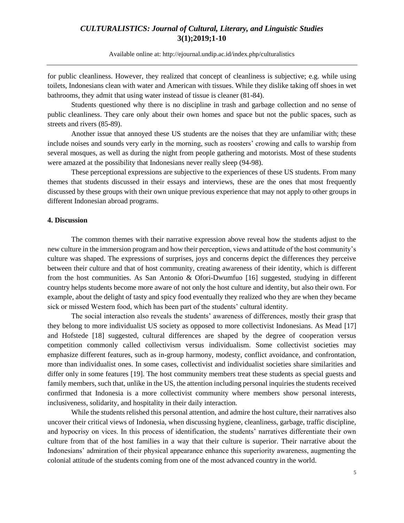Available online at: [http://ejournal.undip.ac.id/index.php/c](http://ejournal.undip.ac.id/index.php/)ulturalistics

for public cleanliness. However, they realized that concept of cleanliness is subjective; e.g. while using toilets, Indonesians clean with water and American with tissues. While they dislike taking off shoes in wet bathrooms, they admit that using water instead of tissue is cleaner (81-84).

Students questioned why there is no discipline in trash and garbage collection and no sense of public cleanliness. They care only about their own homes and space but not the public spaces, such as streets and rivers (85-89).

Another issue that annoyed these US students are the noises that they are unfamiliar with; these include noises and sounds very early in the morning, such as roosters' crowing and calls to warship from several mosques, as well as during the night from people gathering and motorists. Most of these students were amazed at the possibility that Indonesians never really sleep (94-98).

These perceptional expressions are subjective to the experiences of these US students. From many themes that students discussed in their essays and interviews, these are the ones that most frequently discussed by these groups with their own unique previous experience that may not apply to other groups in different Indonesian abroad programs.

#### **4. Discussion**

The common themes with their narrative expression above reveal how the students adjust to the new culture in the immersion program and how their perception, views and attitude of the host community's culture was shaped. The expressions of surprises, joys and concerns depict the differences they perceive between their culture and that of host community, creating awareness of their identity, which is different from the host communities. As San Antonio & Ofori-Dwumfuo [16] suggested, studying in different country helps students become more aware of not only the host culture and identity, but also their own. For example, about the delight of tasty and spicy food eventually they realized who they are when they became sick or missed Western food, which has been part of the students' cultural identity.

The social interaction also reveals the students' awareness of differences, mostly their grasp that they belong to more individualist US society as opposed to more collectivist Indonesians. As Mead [17] and Hofstede [18] suggested, cultural differences are shaped by the degree of cooperation versus competition commonly called collectivism versus individualism. Some collectivist societies may emphasize different features, such as in-group harmony, modesty, conflict avoidance, and confrontation, more than individualist ones. In some cases, collectivist and individualist societies share similarities and differ only in some features [19]. The host community members treat these students as special guests and family members, such that, unlike in the US, the attention including personal inquiries the students received confirmed that Indonesia is a more collectivist community where members show personal interests, inclusiveness, solidarity, and hospitality in their daily interaction.

While the students relished this personal attention, and admire the host culture, their narratives also uncover their critical views of Indonesia, when discussing hygiene, cleanliness, garbage, traffic discipline, and hypocrisy on vices. In this process of identification, the students' narratives differentiate their own culture from that of the host families in a way that their culture is superior. Their narrative about the Indonesians' admiration of their physical appearance enhance this superiority awareness, augmenting the colonial attitude of the students coming from one of the most advanced country in the world.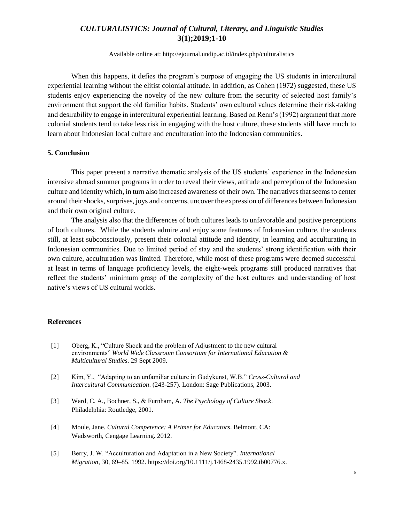Available online at: [http://ejournal.undip.ac.id/index.php/c](http://ejournal.undip.ac.id/index.php/)ulturalistics

When this happens, it defies the program's purpose of engaging the US students in intercultural experiential learning without the elitist colonial attitude. In addition, as Cohen (1972) suggested, these US students enjoy experiencing the novelty of the new culture from the security of selected host family's environment that support the old familiar habits. Students' own cultural values determine their risk-taking and desirability to engage in intercultural experiential learning. Based on Renn's (1992) argument that more colonial students tend to take less risk in engaging with the host culture, these students still have much to learn about Indonesian local culture and enculturation into the Indonesian communities.

#### **5. Conclusion**

This paper present a narrative thematic analysis of the US students' experience in the Indonesian intensive abroad summer programs in order to reveal their views, attitude and perception of the Indonesian culture and identity which, in turn also increased awareness of their own. The narratives that seems to center around their shocks, surprises, joys and concerns, uncover the expression of differences between Indonesian and their own original culture.

The analysis also that the differences of both cultures leads to unfavorable and positive perceptions of both cultures. While the students admire and enjoy some features of Indonesian culture, the students still, at least subconsciously, present their colonial attitude and identity, in learning and acculturating in Indonesian communities. Due to limited period of stay and the students' strong identification with their own culture, acculturation was limited. Therefore, while most of these programs were deemed successful at least in terms of language proficiency levels, the eight-week programs still produced narratives that reflect the students' minimum grasp of the complexity of the host cultures and understanding of host native's views of US cultural worlds.

#### **References**

- [1] Oberg, K., "Culture Shock and the problem of Adjustment to the new cultural environments" *World Wide Classroom Consortium for International Education & Multicultural Studies*. 29 Sept 2009.
- [2] Kim, Y., "Adapting to an unfamiliar culture in Gudykunst, W.B." *Cross-Cultural and Intercultural Communication*. (243-257). London: Sage Publications, 2003.
- [3] Ward, C. A., Bochner, S., & Furnham, A. *The Psychology of Culture Shock*. Philadelphia: Routledge, 2001.
- [4] Moule, Jane. *Cultural Competence: A Primer for Educators*. Belmont, CA: Wadsworth, Cengage Learning. 2012.
- [5] Berry, J. W. "Acculturation and Adaptation in a New Society". *International Migration*, 30, 69–85. 1992. [https://doi.org/10.1111/j.1468-2435.1992.tb00776.x.](https://doi.org/10.1111/j.1468-2435.1992.tb00776.x)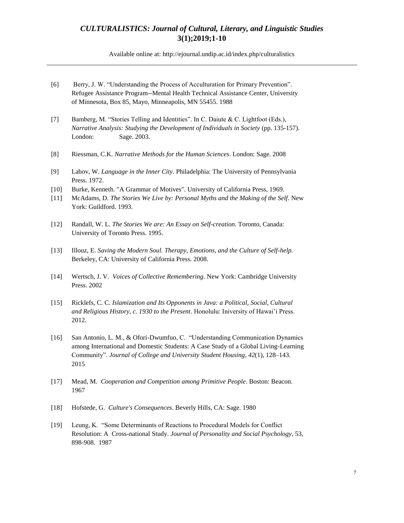Available online at: [http://ejournal.undip.ac.id/index.php/c](http://ejournal.undip.ac.id/index.php/)ulturalistics

- [6] Berry, J. W. "Understanding the Process of Acculturation for Primary Prevention". Refugee Assistance Program--Mental Health Technical Assistance Center, University of Minnesota, Box 85, Mayo, Minneapolis, MN 55455. 1988
- [7] Bamberg, M. "Stories Telling and Identities". In C. Daiute & C. Lightfoot (Eds.), *Narrative Analysis: Studying the Development of Individuals in Society* (pp. 135-157). London: Sage. 2003.
- [8] Riessman, C.K. *Narrative Methods for the Human Sciences*. London: Sage. 2008
- [9] Labov, W. *Language in the Inner City*. Philadelphia: The University of Pennsylvania Press. 1972.
- [10] Burke, Kenneth. "A Grammar of Motives". University of California Press, 1969.
- [11] McAdams, D. *The Stories We Live by: Personal Myths and the Making of the Self*. New York: Guildford. 1993.
- [12] Randall, W. L. *The Stories We are: An Essay on Self-creation*. Toronto, Canada: University of Toronto Press. 1995.
- [13] Illouz, E. *Saving the Modern Soul. Therapy, Emotions, and the Culture of Self-help.*  Berkeley, CA: University of California Press. 2008.
- [14] Wertsch, J. V. *Voices of Collective Remembering*. New York: Cambridge University Press. 2002
- [15] Ricklefs, C. C. *Islamization and Its Opponents in Java: a Political, Social, Cultural and Religious History, c. 1930 to the Present*. Honolulu: Iniversity of Hawai'i Press. 2012.
- [16] San Antonio, L. M., & Ofori-Dwumfuo, C. "Understanding Communication Dynamics among International and Domestic Students: A Case Study of a Global Living-Learning Community". *Journal of College and University Student Housing*, *42*(1), 128–143. 2015
- [17] Mead, M. *Cooperation and Competition among Primitive People*. Boston: Beacon. 1967
- [18] Hofstede, G. *Culture's Consequences*. Beverly Hills, CA: Sage. 1980
- [19] Leung, K. "Some Determinants of Reactions to Procedural Models for Conflict Resolution: A Cross-national Study. *Journal of Personality and Social Psychology,* 53, 898-908. 1987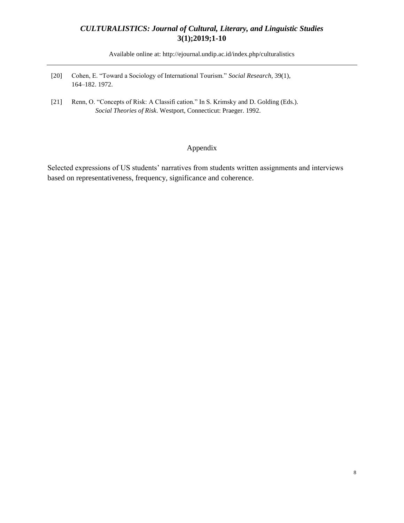Available online at: [http://ejournal.undip.ac.id/index.php/c](http://ejournal.undip.ac.id/index.php/)ulturalistics

- [20] Cohen, E. "Toward a Sociology of International Tourism." *Social Research*, 39(1), 164–182. 1972.
- [21] Renn, O. "Concepts of Risk: A Classifi cation." In S. Krimsky and D. Golding (Eds.). *Social Theories of Risk*. Westport, Connecticut: Praeger. 1992.

### Appendix

Selected expressions of US students' narratives from students written assignments and interviews based on representativeness, frequency, significance and coherence.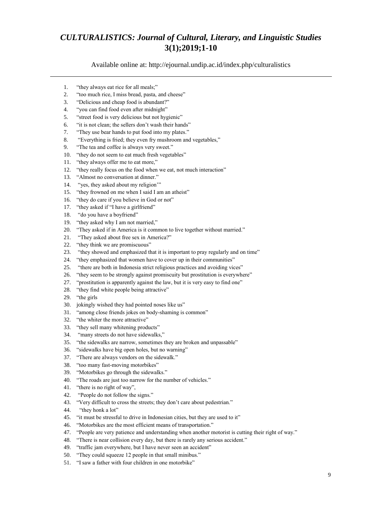Available online at: [http://ejournal.undip.ac.id/index.php/c](http://ejournal.undip.ac.id/index.php/)ulturalistics

- 1. "they always eat rice for all meals;"
- 2. "too much rice, I miss bread, pasta, and cheese"
- 3. "Delicious and cheap food is abundant?"
- 4. "you can find food even after midnight"
- 5. "street food is very delicious but not hygienic"
- 6. "it is not clean; the sellers don't wash their hands"
- 7. "They use bear hands to put food into my plates."
- 8. "Everything is fried; they even fry mushroom and vegetables,"
- 9. "The tea and coffee is always very sweet."
- 10. "they do not seem to eat much fresh vegetables"
- 11. "they always offer me to eat more,"
- 12. "they really focus on the food when we eat, not much interaction"
- 13. "Almost no conversation at dinner."
- 14. "yes, they asked about my religion'"
- 15. "they frowned on me when I said I am an atheist"
- 16. "they do care if you believe in God or not"
- 17. "they asked if "I have a girlfriend"
- 18. "do you have a boyfriend"
- 19. "they asked why I am not married,"
- 20. "They asked if in America is it common to live together without married."
- 21. "They asked about free sex in America?"
- 22. "they think we are promiscuous"
- 23. "they showed and emphasized that it is important to pray regularly and on time"
- 24. "they emphasized that women have to cover up in their communities"
- 25. "there are both in Indonesia strict religious practices and avoiding vices"
- 26. "they seem to be strongly against promiscuity but prostitution is everywhere"
- 27. "prostitution is apparently against the law, but it is very easy to find one"
- 28. "they find white people being attractive"
- 29. "the girls
- 30. jokingly wished they had pointed noses like us"
- 31. "among close friends jokes on body-shaming is common"
- 32. "the whiter the more attractive"
- 33. "they sell many whitening products"
- 34. "many streets do not have sidewalks,"
- 35. "the sidewalks are narrow, sometimes they are broken and unpassable"
- 36. "sidewalks have big open holes, but no warning"
- 37. "There are always vendors on the sidewalk."
- 38. "too many fast-moving motorbikes"
- 39. "Motorbikes go through the sidewalks."
- 40. "The roads are just too narrow for the number of vehicles."
- 41. "there is no right of way",
- 42. "People do not follow the signs."
- 43. "Very difficult to cross the streets; they don't care about pedestrian."
- 44. "they honk a lot"
- 45. "it must be stressful to drive in Indonesian cities, but they are used to it"
- 46. "Motorbikes are the most efficient means of transportation."
- 47. "People are very patience and understanding when another motorist is cutting their right of way."
- 48. "There is near collision every day, but there is rarely any serious accident."
- 49. "traffic jam everywhere, but I have never seen an accident"
- 50. "They could squeeze 12 people in that small minibus."
- 51. "I saw a father with four children in one motorbike"